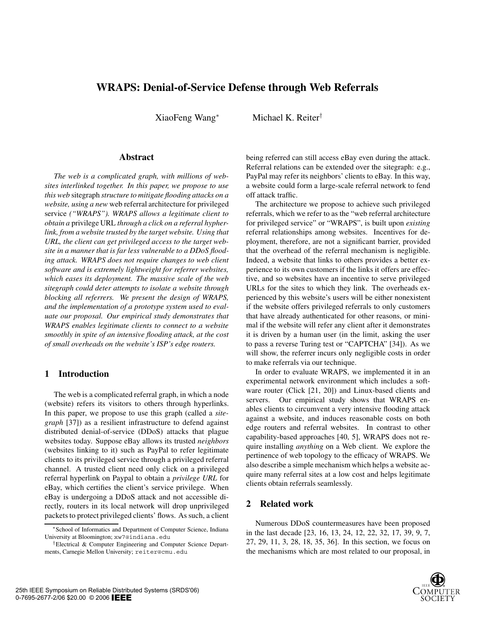# **WRAPS: Denial-of-Service Defense through Web Referrals**

XiaoFeng Wang<sup>∗</sup> Michael K. Reiter†

#### **Abstract**

*The web is a complicated graph, with millions of websites interlinked together. In this paper, we propose to use this web* sitegraph *structure to mitigate flooding attacks on a website, using a new* web referral architecture for privileged service *("WRAPS"). WRAPS allows a legitimate client to obtain a* privilege URL *through a click on a referral hypherlink, from a website trusted by the target website. Using that URL, the client can get privileged access to the target website in a manner that is far less vulnerable to a DDoS flooding attack. WRAPS does not require changes to web client software and is extremely lightweight for referrer websites, which eases its deployment. The massive scale of the web sitegraph could deter attempts to isolate a website through blocking all referrers. We present the design of WRAPS, and the implementation of a prototype system used to evaluate our proposal. Our empirical study demonstrates that WRAPS enables legitimate clients to connect to a website smoothly in spite of an intensive flooding attack, at the cost of small overheads on the website's ISP's edge routers.*

## **1 Introduction**

The web is a complicated referral graph, in which a node (website) refers its visitors to others through hyperlinks. In this paper, we propose to use this graph (called a *sitegraph* [37]) as a resilient infrastructure to defend against distributed denial-of-service (DDoS) attacks that plague websites today. Suppose eBay allows its trusted *neighbors* (websites linking to it) such as PayPal to refer legitimate clients to its privileged service through a privileged referral channel. A trusted client need only click on a privileged referral hyperlink on Paypal to obtain a *privilege URL* for eBay, which certifies the client's service privilege. When eBay is undergoing a DDoS attack and not accessible directly, routers in its local network will drop unprivileged packets to protect privileged clients' flows. As such, a client being referred can still access eBay even during the attack. Referral relations can be extended over the sitegraph: e.g., PayPal may refer its neighbors' clients to eBay. In this way, a website could form a large-scale referral network to fend off attack traffic.

The architecture we propose to achieve such privileged referrals, which we refer to as the "web referral architecture for privileged service" or "WRAPS", is built upon *existing* referral relationships among websites. Incentives for deployment, therefore, are not a significant barrier, provided that the overhead of the referral mechanism is negligible. Indeed, a website that links to others provides a better experience to its own customers if the links it offers are effective, and so websites have an incentive to serve privileged URLs for the sites to which they link. The overheads experienced by this website's users will be either nonexistent if the website offers privileged referrals to only customers that have already authenticated for other reasons, or minimal if the website will refer any client after it demonstrates it is driven by a human user (in the limit, asking the user to pass a reverse Turing test or "CAPTCHA" [34]). As we will show, the referrer incurs only negligible costs in order to make referrals via our technique.

In order to evaluate WRAPS, we implemented it in an experimental network environment which includes a software router (Click [21, 20]) and Linux-based clients and servers. Our empirical study shows that WRAPS enables clients to circumvent a very intensive flooding attack against a website, and induces reasonable costs on both edge routers and referral websites. In contrast to other capability-based approaches [40, 5], WRAPS does not require installing *anything* on a Web client. We explore the pertinence of web topology to the efficacy of WRAPS. We also describe a simple mechanism which helps a website acquire many referral sites at a low cost and helps legitimate clients obtain referrals seamlessly.

## **2 Related work**

Numerous DDoS countermeasures have been proposed in the last decade [23, 16, 13, 24, 12, 22, 32, 17, 39, 9, 7, 27, 29, 11, 3, 28, 18, 35, 36]. In this section, we focus on the mechanisms which are most related to our proposal, in



<sup>∗</sup>School of Informatics and Department of Computer Science, Indiana University at Bloomington; xw7@indiana.edu

<sup>†</sup>Electrical & Computer Engineering and Computer Science Departments, Carnegie Mellon University; reiter@cmu.edu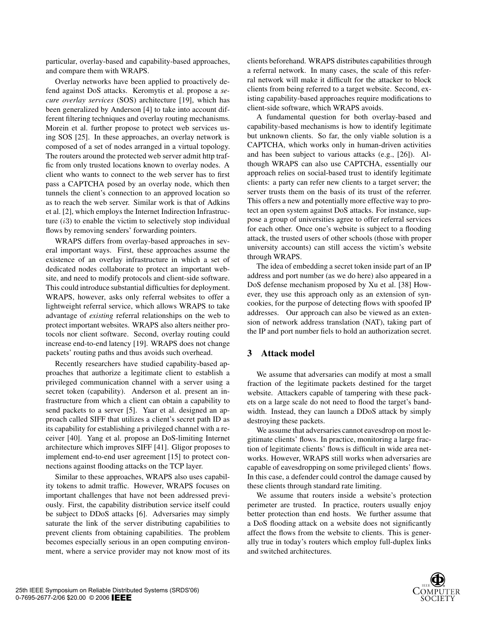particular, overlay-based and capability-based approaches, and compare them with WRAPS.

Overlay networks have been applied to proactively defend against DoS attacks. Keromytis et al. propose a *secure overlay services* (SOS) architecture [19], which has been generalized by Anderson [4] to take into account different filtering techniques and overlay routing mechanisms. Morein et al. further propose to protect web services using SOS [25]. In these approaches, an overlay network is composed of a set of nodes arranged in a virtual topology. The routers around the protected web server admit http traffic from only trusted locations known to overlay nodes. A client who wants to connect to the web server has to first pass a CAPTCHA posed by an overlay node, which then tunnels the client's connection to an approved location so as to reach the web server. Similar work is that of Adkins et al. [2], which employs the Internet Indirection Infrastructure  $(i3)$  to enable the victim to selectively stop individual flows by removing senders' forwarding pointers.

WRAPS differs from overlay-based approaches in several important ways. First, these approaches assume the existence of an overlay infrastructure in which a set of dedicated nodes collaborate to protect an important website, and need to modify protocols and client-side software. This could introduce substantial difficulties for deployment. WRAPS, however, asks only referral websites to offer a lightweight referral service, which allows WRAPS to take advantage of *existing* referral relationships on the web to protect important websites. WRAPS also alters neither protocols nor client software. Second, overlay routing could increase end-to-end latency [19]. WRAPS does not change packets' routing paths and thus avoids such overhead.

Recently researchers have studied capability-based approaches that authorize a legitimate client to establish a privileged communication channel with a server using a secret token (capability). Anderson et al. present an infrastructure from which a client can obtain a capability to send packets to a server [5]. Yaar et al. designed an approach called SIFF that utilizes a client's secret path ID as its capability for establishing a privileged channel with a receiver [40]. Yang et al. propose an DoS-limiting Internet architecture which improves SIFF [41]. Gligor proposes to implement end-to-end user agreement [15] to protect connections against flooding attacks on the TCP layer.

Similar to these approaches, WRAPS also uses capability tokens to admit traffic. However, WRAPS focuses on important challenges that have not been addressed previously. First, the capability distribution service itself could be subject to DDoS attacks [6]. Adversaries may simply saturate the link of the server distributing capabilities to prevent clients from obtaining capabilities. The problem becomes especially serious in an open computing environment, where a service provider may not know most of its clients beforehand. WRAPS distributes capabilities through a referral network. In many cases, the scale of this referral network will make it difficult for the attacker to block clients from being referred to a target website. Second, existing capability-based approaches require modifications to client-side software, which WRAPS avoids.

A fundamental question for both overlay-based and capability-based mechanisms is how to identify legitimate but unknown clients. So far, the only viable solution is a CAPTCHA, which works only in human-driven activities and has been subject to various attacks (e.g., [26]). Although WRAPS can also use CAPTCHA, essentially our approach relies on social-based trust to identify legitimate clients: a party can refer new clients to a target server; the server trusts them on the basis of its trust of the referrer. This offers a new and potentially more effective way to protect an open system against DoS attacks. For instance, suppose a group of universities agree to offer referral services for each other. Once one's website is subject to a flooding attack, the trusted users of other schools (those with proper university accounts) can still access the victim's website through WRAPS.

The idea of embedding a secret token inside part of an IP address and port number (as we do here) also appeared in a DoS defense mechanism proposed by Xu et al. [38] However, they use this approach only as an extension of syncookies, for the purpose of detecting flows with spoofed IP addresses. Our approach can also be viewed as an extension of network address translation (NAT), taking part of the IP and port number fiels to hold an authorization secret.

## **3 Attack model**

We assume that adversaries can modify at most a small fraction of the legitimate packets destined for the target website. Attackers capable of tampering with these packets on a large scale do not need to flood the target's bandwidth. Instead, they can launch a DDoS attack by simply destroying these packets.

We assume that adversaries cannot eavesdrop on most legitimate clients' flows. In practice, monitoring a large fraction of legitimate clients' flows is difficult in wide area networks. However, WRAPS still works when adversaries are capable of eavesdropping on some privileged clients' flows. In this case, a defender could control the damage caused by these clients through standard rate limiting.

We assume that routers inside a website's protection perimeter are trusted. In practice, routers usually enjoy better protection than end hosts. We further assume that a DoS flooding attack on a website does not significantly affect the flows from the website to clients. This is generally true in today's routers which employ full-duplex links and switched architectures.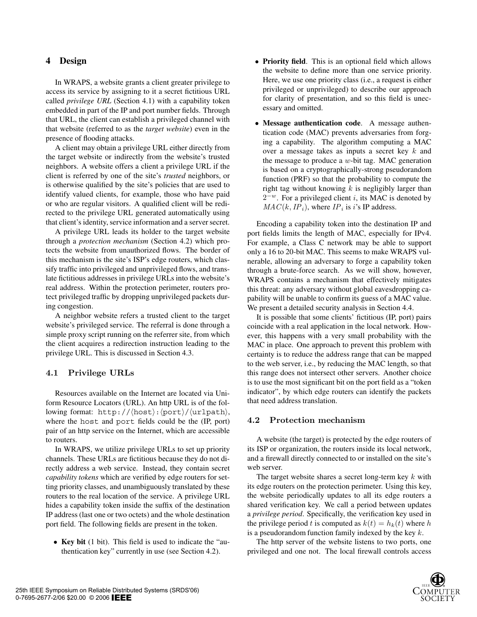## **4 Design**

In WRAPS, a website grants a client greater privilege to access its service by assigning to it a secret fictitious URL called *privilege URL* (Section 4.1) with a capability token embedded in part of the IP and port number fields. Through that URL, the client can establish a privileged channel with that website (referred to as the *target website*) even in the presence of flooding attacks.

A client may obtain a privilege URL either directly from the target website or indirectly from the website's trusted neighbors. A website offers a client a privilege URL if the client is referred by one of the site's *trusted* neighbors, or is otherwise qualified by the site's policies that are used to identify valued clients, for example, those who have paid or who are regular visitors. A qualified client will be redirected to the privilege URL generated automatically using that client's identity, service information and a server secret.

A privilege URL leads its holder to the target website through a *protection mechanism* (Section 4.2) which protects the website from unauthorized flows. The border of this mechanism is the site's ISP's edge routers, which classify traffic into privileged and unprivileged flows, and translate fictitious addresses in privilege URLs into the website's real address. Within the protection perimeter, routers protect privileged traffic by dropping unprivileged packets during congestion.

A neighbor website refers a trusted client to the target website's privileged service. The referral is done through a simple proxy script running on the referrer site, from which the client acquires a redirection instruction leading to the privilege URL. This is discussed in Section 4.3.

## **4.1 Privilege URLs**

Resources available on the Internet are located via Uniform Resource Locators (URL). An http URL is of the following format: http:// $\langle$ host $\rangle$ : $\langle$ port $\rangle$ / $\langle$ urlpath $\rangle$ , where the host and port fields could be the (IP, port) pair of an http service on the Internet, which are accessible to routers.

In WRAPS, we utilize privilege URLs to set up priority channels. These URLs are fictitious because they do not directly address a web service. Instead, they contain secret *capability tokens* which are verified by edge routers for setting priority classes, and unambiguously translated by these routers to the real location of the service. A privilege URL hides a capability token inside the suffix of the destination IP address (last one or two octets) and the whole destination port field. The following fields are present in the token.

• **Key bit** (1 bit). This field is used to indicate the "authentication key" currently in use (see Section 4.2).

- **Priority field**. This is an optional field which allows the website to define more than one service priority. Here, we use one priority class (i.e., a request is either privileged or unprivileged) to describe our approach for clarity of presentation, and so this field is unecessary and omitted.
- **Message authentication code**. A message authentication code (MAC) prevents adversaries from forging a capability. The algorithm computing a MAC over a message takes as inputs a secret key k and the message to produce a  $w$ -bit tag. MAC generation is based on a cryptographically-strong pseudorandom function (PRF) so that the probability to compute the right tag without knowing  $k$  is negligibly larger than 2*−w*. For a privileged client i, its MAC is denoted by  $MAC(k, IP<sub>i</sub>)$ , where  $IP<sub>i</sub>$  is *i*'s IP address.

Encoding a capability token into the destination IP and port fields limits the length of MAC, especially for IPv4. For example, a Class C network may be able to support only a 16 to 20-bit MAC. This seems to make WRAPS vulnerable, allowing an adversary to forge a capability token through a brute-force search. As we will show, however, WRAPS contains a mechanism that effectively mitigates this threat: any adversary without global eavesdropping capability will be unable to confirm its guess of a MAC value. We present a detailed security analysis in Section 4.4.

It is possible that some clients' fictitious (IP, port) pairs coincide with a real application in the local network. However, this happens with a very small probability with the MAC in place. One approach to prevent this problem with certainty is to reduce the address range that can be mapped to the web server, i.e., by reducing the MAC length, so that this range does not intersect other servers. Another choice is to use the most significant bit on the port field as a "token indicator", by which edge routers can identify the packets that need address translation.

#### **4.2 Protection mechanism**

A website (the target) is protected by the edge routers of its ISP or organization, the routers inside its local network, and a firewall directly connected to or installed on the site's web server.

The target website shares a secret long-term key  $k$  with its edge routers on the protection perimeter. Using this key, the website periodically updates to all its edge routers a shared verification key. We call a period between updates a *privilege period*. Specifically, the verification key used in the privilege period t is computed as  $k(t) = h_k(t)$  where h is a pseudorandom function family indexed by the key  $k$ .

The http server of the website listens to two ports, one privileged and one not. The local firewall controls access

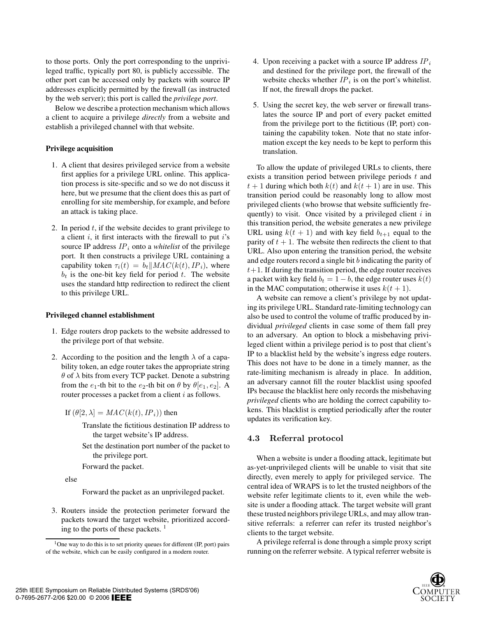to those ports. Only the port corresponding to the unprivileged traffic, typically port 80, is publicly accessible. The other port can be accessed only by packets with source IP addresses explicitly permitted by the firewall (as instructed by the web server); this port is called the *privilege port*.

Below we describe a protection mechanism which allows a client to acquire a privilege *directly* from a website and establish a privileged channel with that website.

#### **Privilege acquisition**

- 1. A client that desires privileged service from a website first applies for a privilege URL online. This application process is site-specific and so we do not discuss it here, but we presume that the client does this as part of enrolling for site membership, for example, and before an attack is taking place.
- 2. In period  $t$ , if the website decides to grant privilege to a client  $i$ , it first interacts with the firewall to put  $i$ 's source IP address *IP<sup>i</sup>* onto a *whitelist* of the privilege port. It then constructs a privilege URL containing a capability token  $\tau_i(t) = b_t \parallel MAC(k(t), IP_i)$ , where  $b_t$  is the one-bit key field for period  $t$ . The website uses the standard http redirection to redirect the client to this privilege URL.

#### **Privileged channel establishment**

- 1. Edge routers drop packets to the website addressed to the privilege port of that website.
- 2. According to the position and the length  $\lambda$  of a capability token, an edge router takes the appropriate string  $\theta$  of  $\lambda$  bits from every TCP packet. Denote a substring from the  $e_1$ -th bit to the  $e_2$ -th bit on  $\theta$  by  $\theta[e_1, e_2]$ . A router processes a packet from a client  $i$  as follows.

If  $(\theta[2, \lambda] = MAC(k(t), IP_i))$  then

- Translate the fictitious destination IP address to the target website's IP address.
- Set the destination port number of the packet to the privilege port.
- Forward the packet.

else

Forward the packet as an unprivileged packet.

3. Routers inside the protection perimeter forward the packets toward the target website, prioritized according to the ports of these packets.  $\frac{1}{1}$ 

- 4. Upon receiving a packet with a source IP address *IP<sup>i</sup>* and destined for the privilege port, the firewall of the website checks whether  $IP_i$  is on the port's whitelist. If not, the firewall drops the packet.
- 5. Using the secret key, the web server or firewall translates the source IP and port of every packet emitted from the privilege port to the fictitious (IP, port) containing the capability token. Note that no state information except the key needs to be kept to perform this translation.

To allow the update of privileged URLs to clients, there exists a transition period between privilege periods  $t$  and  $t + 1$  during which both  $k(t)$  and  $k(t + 1)$  are in use. This transition period could be reasonably long to allow most privileged clients (who browse that website sufficiently frequently) to visit. Once visited by a privileged client  $i$  in this transition period, the website generates a new privilege URL using  $k(t + 1)$  and with key field  $b_{t+1}$  equal to the parity of  $t + 1$ . The website then redirects the client to that URL. Also upon entering the transition period, the website and edge routers record a single bit  $b$  indicating the parity of  $t+1$ . If during the transition period, the edge router receives a packet with key field  $b_t = 1 - b$ , the edge router uses  $k(t)$ in the MAC computation; otherwise it uses  $k(t + 1)$ .

A website can remove a client's privilege by not updating its privilege URL. Standard rate-limiting technology can also be used to control the volume of traffic produced by individual *privileged* clients in case some of them fall prey to an adversary. An option to block a misbehaving privileged client within a privilege period is to post that client's IP to a blacklist held by the website's ingress edge routers. This does not have to be done in a timely manner, as the rate-limiting mechanism is already in place. In addition, an adversary cannot fill the router blacklist using spoofed IPs because the blacklist here only records the misbehaving *privileged* clients who are holding the correct capability tokens. This blacklist is emptied periodically after the router updates its verification key.

## **4.3 Referral protocol**

When a website is under a flooding attack, legitimate but as-yet-unprivileged clients will be unable to visit that site directly, even merely to apply for privileged service. The central idea of WRAPS is to let the trusted neighbors of the website refer legitimate clients to it, even while the website is under a flooding attack. The target website will grant these trusted neighbors privilege URLs, and may allow transitive referrals: a referrer can refer its trusted neighbor's clients to the target website.

A privilege referral is done through a simple proxy script running on the referrer website. A typical referrer website is



<sup>&</sup>lt;sup>1</sup>One way to do this is to set priority queues for different (IP, port) pairs of the website, which can be easily configured in a modern router.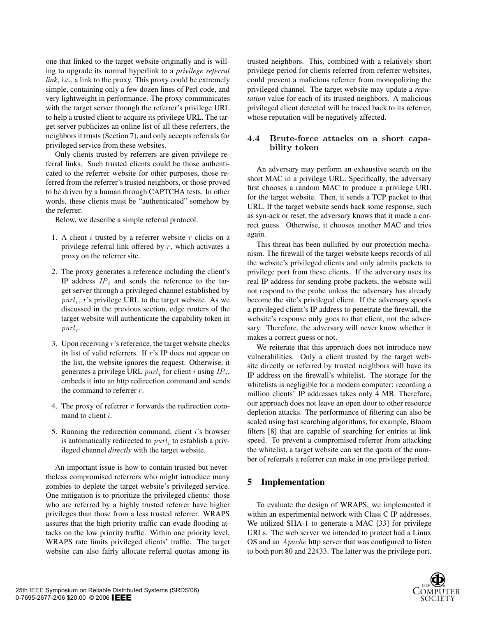one that linked to the target website originally and is willing to upgrade its normal hyperlink to a *privilege referral link*, i.e., a link to the proxy. This proxy could be extremely simple, containing only a few dozen lines of Perl code, and very lightweight in performance. The proxy communicates with the target server through the referrer's privilege URL to help a trusted client to acquire its privilege URL. The target server publicizes an online list of all these referrers, the neighbors it trusts (Section 7), and only accepts referrals for privileged service from these websites.

Only clients trusted by referrers are given privilege referral links. Such trusted clients could be those authenticated to the referrer website for other purposes, those referred from the referrer's trusted neighbors, or those proved to be driven by a human through CAPTCHA tests. In other words, these clients must be "authenticated" somehow by the referrer.

Below, we describe a simple referral protocol.

- 1. A client  $i$  trusted by a referrer website  $r$  clicks on a privilege referral link offered by  $r$ , which activates a proxy on the referrer site.
- 2. The proxy generates a reference including the client's IP address *IP<sup>i</sup>* and sends the reference to the target server through a privileged channel established by  $purl<sub>r</sub>$ , r's privilege URL to the target website. As we discussed in the previous section, edge routers of the target website will authenticate the capability token in  $purl<sub>r</sub>$ .
- 3. Upon receiving  $r$ 's reference, the target website checks its list of valid referrers. If r's IP does not appear on the list, the website ignores the request. Otherwise, it generates a privilege URL  $purl_i$  for client i using  $IP_i$ , embeds it into an http redirection command and sends the command to referrer r.
- 4. The proxy of referrer  $r$  forwards the redirection command to client i.
- 5. Running the redirection command, client i's browser is automatically redirected to  $purl_i$  to establish a privileged channel *directly* with the target website.

An important issue is how to contain trusted but nevertheless compromised referrers who might introduce many zombies to deplete the target website's privileged service. One mitigation is to prioritize the privileged clients: those who are referred by a highly trusted referrer have higher privileges than those from a less trusted referrer. WRAPS assures that the high priority traffic can evade flooding attacks on the low priority traffic. Within one priority level, WRAPS rate limits privileged clients' traffic. The target website can also fairly allocate referral quotas among its

trusted neighbors. This, combined with a relatively short privilege period for clients referred from referrer websites, could prevent a malicious referrer from monopolizing the privileged channel. The target website may update a *reputation* value for each of its trusted neighbors. A malicious privileged client detected will be traced back to its referrer, whose reputation will be negatively affected.

## **4.4 Brute-force attacks on a short capability token**

An adversary may perform an exhaustive search on the short MAC in a privilege URL. Specifically, the adversary first chooses a random MAC to produce a privilege URL for the target website. Then, it sends a TCP packet to that URL. If the target website sends back some response, such as syn-ack or reset, the adversary knows that it made a correct guess. Otherwise, it chooses another MAC and tries again.

This threat has been nullified by our protection mechanism. The firewall of the target website keeps records of all the website's privileged clients and only admits packets to privilege port from these clients. If the adversary uses its real IP address for sending probe packets, the website will not respond to the probe unless the adversary has already become the site's privileged client. If the adversary spoofs a privileged client's IP address to penetrate the firewall, the website's response only goes to that client, not the adversary. Therefore, the adversary will never know whether it makes a correct guess or not.

We reiterate that this approach does not introduce new vulnerabilities. Only a client trusted by the target website directly or referred by trusted neighbors will have its IP address on the firewall's whitelist. The storage for the whitelists is negligible for a modern computer: recording a million clients' IP addresses takes only 4 MB. Therefore, our approach does not leave an open door to other resource depletion attacks. The performance of filtering can also be scaled using fast searching algorithms, for example, Bloom filters [8] that are capable of searching for entries at link speed. To prevent a compromised referrer from attacking the whitelist, a target website can set the quota of the number of referrals a referrer can make in one privilege period.

## **5 Implementation**

To evaluate the design of WRAPS, we implemented it within an experimental network with Class C IP addresses. We utilized SHA-1 to generate a MAC [33] for privilege URLs. The web server we intended to protect had a Linux OS and an *Apache* http server that was configured to listen to both port 80 and 22433. The latter was the privilege port.

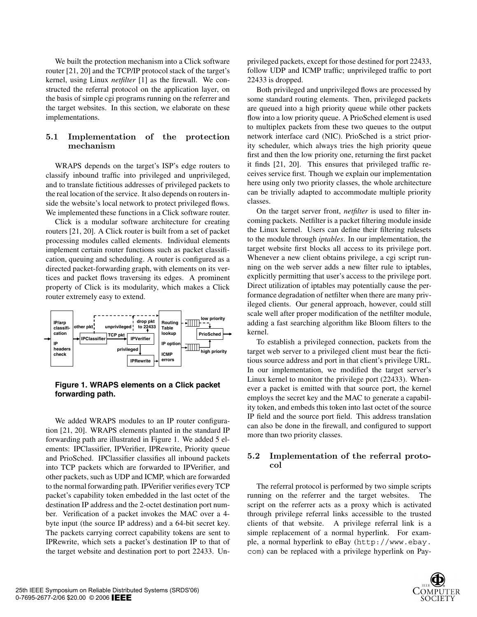We built the protection mechanism into a Click software router [21, 20] and the TCP/IP protocol stack of the target's kernel, using Linux *netfilter* [1] as the firewall. We constructed the referral protocol on the application layer, on the basis of simple cgi programs running on the referrer and the target websites. In this section, we elaborate on these implementations.

## **5.1 Implementation of the protection mechanism**

WRAPS depends on the target's ISP's edge routers to classify inbound traffic into privileged and unprivileged, and to translate fictitious addresses of privileged packets to the real location of the service. It also depends on routers inside the website's local network to protect privileged flows. We implemented these functions in a Click software router.

Click is a modular software architecture for creating routers [21, 20]. A Click router is built from a set of packet processing modules called elements. Individual elements implement certain router functions such as packet classification, queuing and scheduling. A router is configured as a directed packet-forwarding graph, with elements on its vertices and packet flows traversing its edges. A prominent property of Click is its modularity, which makes a Click router extremely easy to extend.



## **Figure 1. WRAPS elements on a Click packet forwarding path.**

We added WRAPS modules to an IP router configuration [21, 20]. WRAPS elements planted in the standard IP forwarding path are illustrated in Figure 1. We added 5 elements: IPClassifier, IPVerifier, IPRewrite, Priority queue and PrioSched. IPClassifier classifies all inbound packets into TCP packets which are forwarded to IPVerifier, and other packets, such as UDP and ICMP, which are forwarded to the normal forwarding path. IPVerifier verifies every TCP packet's capability token embedded in the last octet of the destination IP address and the 2-octet destination port number. Verification of a packet invokes the MAC over a 4 byte input (the source IP address) and a 64-bit secret key. The packets carrying correct capability tokens are sent to IPRewrite, which sets a packet's destination IP to that of the target website and destination port to port 22433. Unprivileged packets, except for those destined for port 22433, follow UDP and ICMP traffic; unprivileged traffic to port 22433 is dropped.

Both privileged and unprivileged flows are processed by some standard routing elements. Then, privileged packets are queued into a high priority queue while other packets flow into a low priority queue. A PrioSched element is used to multiplex packets from these two queues to the output network interface card (NIC). PrioSched is a strict priority scheduler, which always tries the high priority queue first and then the low priority one, returning the first packet it finds [21, 20]. This ensures that privileged traffic receives service first. Though we explain our implementation here using only two priority classes, the whole architecture can be trivially adapted to accommodate multiple priority classes.

On the target server front, *netfilter* is used to filter incoming packets. Netfilter is a packet filtering module inside the Linux kernel. Users can define their filtering rulesets to the module through *iptables*. In our implementation, the target website first blocks all access to its privilege port. Whenever a new client obtains privilege, a cgi script running on the web server adds a new filter rule to iptables, explicitly permitting that user's access to the privilege port. Direct utilization of iptables may potentially cause the performance degradation of netfilter when there are many privileged clients. Our general approach, however, could still scale well after proper modification of the netfilter module, adding a fast searching algorithm like Bloom filters to the kernel.

To establish a privileged connection, packets from the target web server to a privileged client must bear the fictitious source address and port in that client's privilege URL. In our implementation, we modified the target server's Linux kernel to monitor the privilege port (22433). Whenever a packet is emitted with that source port, the kernel employs the secret key and the MAC to generate a capability token, and embeds this token into last octet of the source IP field and the source port field. This address translation can also be done in the firewall, and configured to support more than two priority classes.

#### **5.2 Implementation of the referral protocol**

The referral protocol is performed by two simple scripts running on the referrer and the target websites. script on the referrer acts as a proxy which is activated through privilege referral links accessible to the trusted clients of that website. A privilege referral link is a simple replacement of a normal hyperlink. For example, a normal hyperlink to eBay (http://www.ebay. com) can be replaced with a privilege hyperlink on Pay-

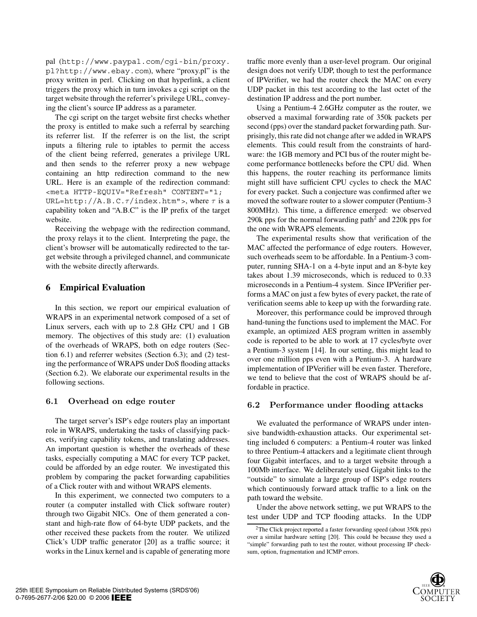pal (http://www.paypal.com/cgi-bin/proxy. pl?http://www.ebay.com), where "proxy.pl" is the proxy written in perl. Clicking on that hyperlink, a client triggers the proxy which in turn invokes a cgi script on the target website through the referrer's privilege URL, conveying the client's source IP address as a parameter.

The cgi script on the target website first checks whether the proxy is entitled to make such a referral by searching its referrer list. If the referrer is on the list, the script inputs a filtering rule to iptables to permit the access of the client being referred, generates a privilege URL and then sends to the referrer proxy a new webpage containing an http redirection command to the new URL. Here is an example of the redirection command: <meta HTTP-EQUIV="Refresh" CONTENT="1; URL=http://A.B.C. $\tau$ /index.htm">, where  $\tau$  is a capability token and "A.B.C" is the IP prefix of the target website.

Receiving the webpage with the redirection command, the proxy relays it to the client. Interpreting the page, the client's browser will be automatically redirected to the target website through a privileged channel, and communicate with the website directly afterwards.

## **6 Empirical Evaluation**

In this section, we report our empirical evaluation of WRAPS in an experimental network composed of a set of Linux servers, each with up to 2.8 GHz CPU and 1 GB memory. The objectives of this study are: (1) evaluation of the overheads of WRAPS, both on edge routers (Section 6.1) and referrer websites (Section 6.3); and (2) testing the performance of WRAPS under DoS flooding attacks (Section 6.2). We elaborate our experimental results in the following sections.

#### **6.1 Overhead on edge router**

The target server's ISP's edge routers play an important role in WRAPS, undertaking the tasks of classifying packets, verifying capability tokens, and translating addresses. An important question is whether the overheads of these tasks, especially computing a MAC for every TCP packet, could be afforded by an edge router. We investigated this problem by comparing the packet forwarding capabilities of a Click router with and without WRAPS elements.

In this experiment, we connected two computers to a router (a computer installed with Click software router) through two Gigabit NICs. One of them generated a constant and high-rate flow of 64-byte UDP packets, and the other received these packets from the router. We utilized Click's UDP traffic generator [20] as a traffic source; it works in the Linux kernel and is capable of generating more

traffic more evenly than a user-level program. Our original design does not verify UDP, though to test the performance of IPVerifier, we had the router check the MAC on every UDP packet in this test according to the last octet of the destination IP address and the port number.

Using a Pentium-4 2.6GHz computer as the router, we observed a maximal forwarding rate of 350k packets per second (pps) over the standard packet forwarding path. Surprisingly, this rate did not change after we added in WRAPS elements. This could result from the constraints of hardware: the 1GB memory and PCI bus of the router might become performance bottlenecks before the CPU did. When this happens, the router reaching its performance limits might still have sufficient CPU cycles to check the MAC for every packet. Such a conjecture was confirmed after we moved the software router to a slower computer (Pentium-3 800MHz). This time, a difference emerged: we observed 290k pps for the normal forwarding path<sup>2</sup> and 220k pps for the one with WRAPS elements.

The experimental results show that verification of the MAC affected the performance of edge routers. However, such overheads seem to be affordable. In a Pentium-3 computer, running SHA-1 on a 4-byte input and an 8-byte key takes about 1.39 microseconds, which is reduced to 0.33 microseconds in a Pentium-4 system. Since IPVerifier performs a MAC on just a few bytes of every packet, the rate of verification seems able to keep up with the forwarding rate.

Moreover, this performance could be improved through hand-tuning the functions used to implement the MAC. For example, an optimized AES program written in assembly code is reported to be able to work at 17 cycles/byte over a Pentium-3 system [14]. In our setting, this might lead to over one million pps even with a Pentium-3. A hardware implementation of IPVerifier will be even faster. Therefore, we tend to believe that the cost of WRAPS should be affordable in practice.

#### **6.2 Performance under flooding attacks**

We evaluated the performance of WRAPS under intensive bandwidth-exhaustion attacks. Our experimental setting included 6 computers: a Pentium-4 router was linked to three Pentium-4 attackers and a legitimate client through four Gigabit interfaces, and to a target website through a 100Mb interface. We deliberately used Gigabit links to the "outside" to simulate a large group of ISP's edge routers which continuously forward attack traffic to a link on the path toward the website.

Under the above network setting, we put WRAPS to the test under UDP and TCP flooding attacks. In the UDP

<sup>&</sup>lt;sup>2</sup>The Click project reported a faster forwarding speed (about 350k pps) over a similar hardware setting [20]. This could be because they used a "simple" forwarding path to test the router, without processing IP checksum, option, fragmentation and ICMP errors.

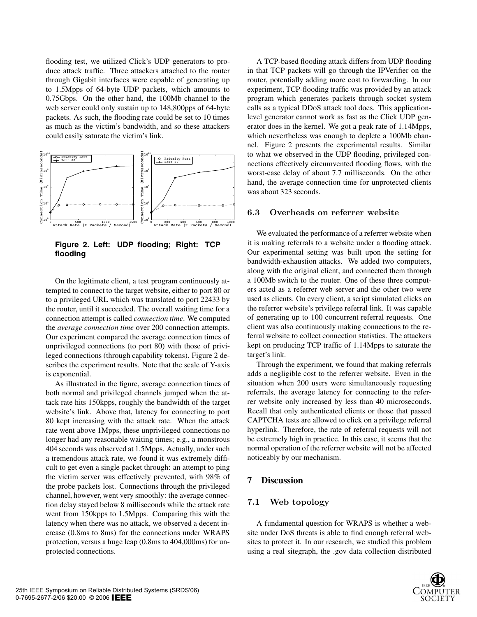flooding test, we utilized Click's UDP generators to produce attack traffic. Three attackers attached to the router through Gigabit interfaces were capable of generating up to 1.5Mpps of 64-byte UDP packets, which amounts to 0.75Gbps. On the other hand, the 100Mb channel to the web server could only sustain up to 148,800pps of 64-byte packets. As such, the flooding rate could be set to 10 times as much as the victim's bandwidth, and so these attackers could easily saturate the victim's link.



**Figure 2. Left: UDP flooding; Right: TCP flooding**

On the legitimate client, a test program continuously attempted to connect to the target website, either to port 80 or to a privileged URL which was translated to port 22433 by the router, until it succeeded. The overall waiting time for a connection attempt is called *connection time*. We computed the *average connection time* over 200 connection attempts. Our experiment compared the average connection times of unprivileged connections (to port 80) with those of privileged connections (through capability tokens). Figure 2 describes the experiment results. Note that the scale of Y-axis is exponential.

As illustrated in the figure, average connection times of both normal and privileged channels jumped when the attack rate hits 150kpps, roughly the bandwidth of the target website's link. Above that, latency for connecting to port 80 kept increasing with the attack rate. When the attack rate went above 1Mpps, these unprivileged connections no longer had any reasonable waiting times; e.g., a monstrous 404 seconds was observed at 1.5Mpps. Actually, under such a tremendous attack rate, we found it was extremely difficult to get even a single packet through: an attempt to ping the victim server was effectively prevented, with 98% of the probe packets lost. Connections through the privileged channel, however, went very smoothly: the average connection delay stayed below 8 milliseconds while the attack rate went from 150kpps to 1.5Mpps. Comparing this with the latency when there was no attack, we observed a decent increase (0.8ms to 8ms) for the connections under WRAPS protection, versus a huge leap (0.8ms to 404,000ms) for unprotected connections.

A TCP-based flooding attack differs from UDP flooding in that TCP packets will go through the IPVerifier on the router, potentially adding more cost to forwarding. In our experiment, TCP-flooding traffic was provided by an attack program which generates packets through socket system calls as a typical DDoS attack tool does. This applicationlevel generator cannot work as fast as the Click UDP generator does in the kernel. We got a peak rate of 1.14Mpps, which nevertheless was enough to deplete a 100Mb channel. Figure 2 presents the experimental results. Similar to what we observed in the UDP flooding, privileged connections effectively circumvented flooding flows, with the worst-case delay of about 7.7 milliseconds. On the other hand, the average connection time for unprotected clients was about 323 seconds.

#### **6.3 Overheads on referrer website**

We evaluated the performance of a referrer website when it is making referrals to a website under a flooding attack. Our experimental setting was built upon the setting for bandwidth-exhaustion attacks. We added two computers, along with the original client, and connected them through a 100Mb switch to the router. One of these three computers acted as a referrer web server and the other two were used as clients. On every client, a script simulated clicks on the referrer website's privilege referral link. It was capable of generating up to 100 concurrent referral requests. One client was also continuously making connections to the referral website to collect connection statistics. The attackers kept on producing TCP traffic of 1.14Mpps to saturate the target's link.

Through the experiment, we found that making referrals adds a negligible cost to the referrer website. Even in the situation when 200 users were simultaneously requesting referrals, the average latency for connecting to the referrer website only increased by less than 40 microseconds. Recall that only authenticated clients or those that passed CAPTCHA tests are allowed to click on a privilege referral hyperlink. Therefore, the rate of referral requests will not be extremely high in practice. In this case, it seems that the normal operation of the referrer website will not be affected noticeably by our mechanism.

## **7 Discussion**

#### **7.1 Web topology**

A fundamental question for WRAPS is whether a website under DoS threats is able to find enough referral websites to protect it. In our research, we studied this problem using a real sitegraph, the .gov data collection distributed

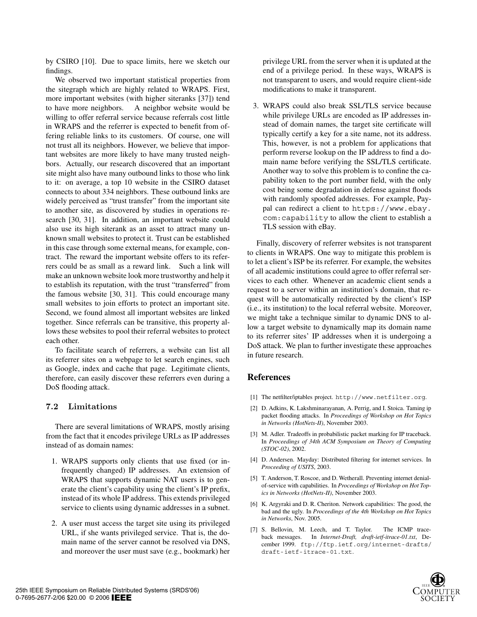by CSIRO [10]. Due to space limits, here we sketch our findings.

We observed two important statistical properties from the sitegraph which are highly related to WRAPS. First, more important websites (with higher siteranks [37]) tend to have more neighbors. A neighbor website would be willing to offer referral service because referrals cost little in WRAPS and the referrer is expected to benefit from offering reliable links to its customers. Of course, one will not trust all its neighbors. However, we believe that important websites are more likely to have many trusted neighbors. Actually, our research discovered that an important site might also have many outbound links to those who link to it: on average, a top 10 website in the CSIRO dataset connects to about 334 neighbors. These outbound links are widely perceived as "trust transfer" from the important site to another site, as discovered by studies in operations research [30, 31]. In addition, an important website could also use its high siterank as an asset to attract many unknown small websites to protect it. Trust can be established in this case through some external means, for example, contract. The reward the important website offers to its referrers could be as small as a reward link. Such a link will make an unknown website look more trustworthy and help it to establish its reputation, with the trust "transferred" from the famous website [30, 31]. This could encourage many small websites to join efforts to protect an important site. Second, we found almost all important websites are linked together. Since referrals can be transitive, this property allows these websites to pool their referral websites to protect each other.

To facilitate search of referrers, a website can list all its referrer sites on a webpage to let search engines, such as Google, index and cache that page. Legitimate clients, therefore, can easily discover these referrers even during a DoS flooding attack.

## **7.2 Limitations**

There are several limitations of WRAPS, mostly arising from the fact that it encodes privilege URLs as IP addresses instead of as domain names:

- 1. WRAPS supports only clients that use fixed (or infrequently changed) IP addresses. An extension of WRAPS that supports dynamic NAT users is to generate the client's capability using the client's IP prefix, instead of its whole IP address. This extends privileged service to clients using dynamic addresses in a subnet.
- 2. A user must access the target site using its privileged URL, if she wants privileged service. That is, the domain name of the server cannot be resolved via DNS, and moreover the user must save (e.g., bookmark) her

privilege URL from the server when it is updated at the end of a privilege period. In these ways, WRAPS is not transparent to users, and would require client-side modifications to make it transparent.

3. WRAPS could also break SSL/TLS service because while privilege URLs are encoded as IP addresses instead of domain names, the target site certificate will typically certify a key for a site name, not its address. This, however, is not a problem for applications that perform reverse lookup on the IP address to find a domain name before verifying the SSL/TLS certificate. Another way to solve this problem is to confine the capability token to the port number field, with the only cost being some degradation in defense against floods with randomly spoofed addresses. For example, Paypal can redirect a client to https://www.ebay. com:capability to allow the client to establish a TLS session with eBay.

Finally, discovery of referrer websites is not transparent to clients in WRAPS. One way to mitigate this problem is to let a client's ISP be its referrer. For example, the websites of all academic institutions could agree to offer referral services to each other. Whenever an academic client sends a request to a server within an institution's domain, that request will be automatically redirected by the client's ISP (i.e., its institution) to the local referral website. Moreover, we might take a technique similar to dynamic DNS to allow a target website to dynamically map its domain name to its referrer sites' IP addresses when it is undergoing a DoS attack. We plan to further investigate these approaches in future research.

## **References**

- [1] The netfilter/iptables project. http://www.netfilter.org.
- [2] D. Adkins, K. Lakshminarayanan, A. Perrig, and I. Stoica. Taming ip packet flooding attacks. In *Proceedings of Workshop on Hot Topics in Networks (HotNets-II)*, November 2003.
- [3] M. Adler. Tradeoffs in probabilistic packet marking for IP traceback. In *Proceedings of 34th ACM Symposium on Theory of Computing (STOC-02)*, 2002.
- [4] D. Andersen. Mayday: Distributed filtering for internet services. In *Proceeding of USITS*, 2003.
- [5] T. Anderson, T. Roscoe, and D. Wetherall. Preventing internet denialof-service with capabilities. In *Proceedings of Workshop on Hot Topics in Networks (HotNets-II)*, November 2003.
- [6] K. Argyraki and D. R. Cheriton. Network capabilities: The good, the bad and the ugly. In *Proceedings of the 4th Workshop on Hot Topics in Networks*, Nov. 2005.
- [7] S. Bellovin, M. Leech, and T. Taylor. The ICMP traceback messages. In *Internet-Draft, draft-ietf-itrace-01.txt*, December 1999. ftp://ftp.ietf.org/internet-drafts/ draft-ietf-itrace-01.txt.